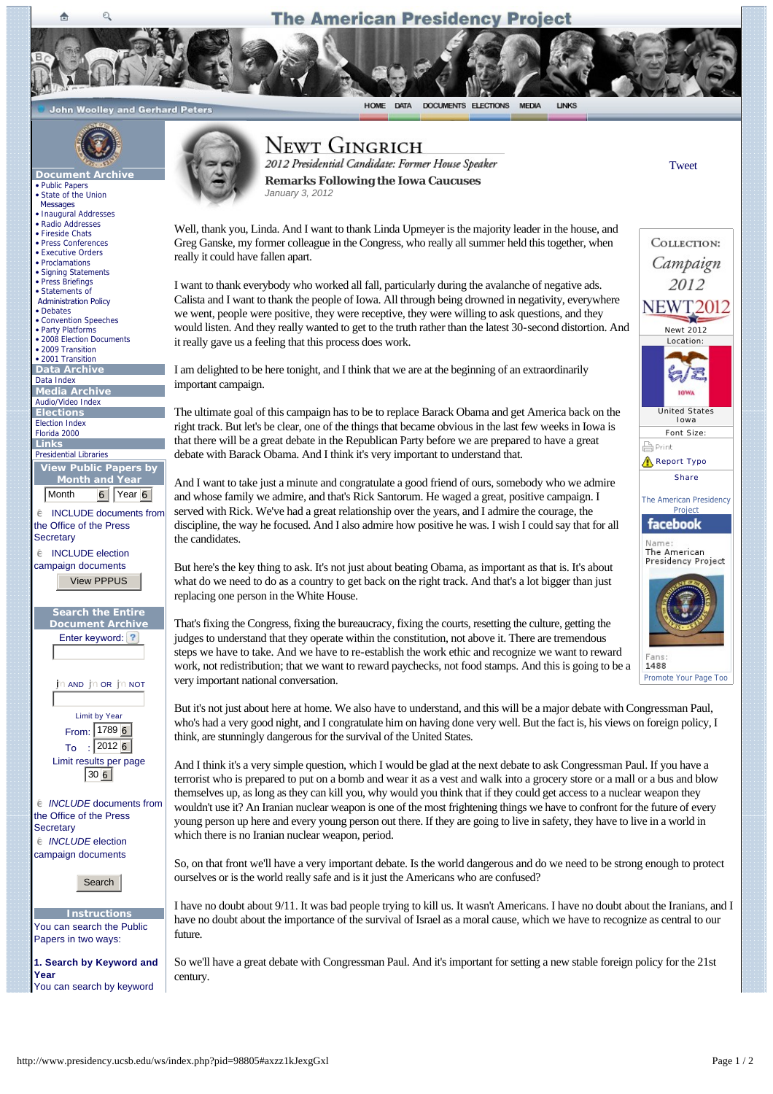## **The American Presidency Project**

HOME DATA DOCUMENTS ELECTIONS

MEDIA

LINKS

**John Woolley and Gerhard Peters** 



Ō

**Document** • [Public Papers](http://www.presidency.ucsb.edu/ws)

- [State of the Union](http://www.presidency.ucsb.edu/sou.php)
- **Messages**
- [Inaugural Addresses](http://www.presidency.ucsb.edu/inaugurals.php) • [Radio Addresses](http://www.presidency.ucsb.edu/satradio.php)
- [Fireside Chats](http://www.presidency.ucsb.edu/fireside.php)
- [Press Conferences](http://www.presidency.ucsb.edu/news_conferences.php)
- [Executive Orders](http://www.presidency.ucsb.edu/executive_orders.php)
- [Proclamations](http://www.presidency.ucsb.edu/proclamations.php)
- [Signing Statements](http://www.presidency.ucsb.edu/signingstatements.php)
- [Press Briefings](http://www.presidency.ucsb.edu/press_briefings.php)  • Statements of
- [Administration Policy](http://www.presidency.ucsb.edu/saps.php)
- [Debates](http://www.presidency.ucsb.edu/debates.php)
- [Convention Speeches](http://www.presidency.ucsb.edu/nomination.php)
- [Party Platforms](http://www.presidency.ucsb.edu/platforms.php)
- [2008 Election Documents](http://www.presidency.ucsb.edu/2008_election.php)  • [2009 Transition](http://www.presidency.ucsb.edu/transition2009.php)
- [2001 Transition](http://www.presidency.ucsb.edu/transition2001.php)
- **Data Archive**
- [Data Index](http://www.presidency.ucsb.edu/data.php)

**Media Archive**

[Audio/Video Index](http://www.presidency.ucsb.edu/media.php)

**Elections**

[Election Index](http://www.presidency.ucsb.edu/elections.php)

[Florida 2000](http://www.presidency.ucsb.edu/florida2000.php)

**Links**

[Presidential Libraries](http://www.presidency.ucsb.edu/libraries.php) **View Public Pape** 

| <b>Month and Year</b> |                |
|-----------------------|----------------|
| Month                 | $6$   Year $6$ |
|                       |                |

 $e$  INCLUDE documents from the Office of the Press **Secretary** 

 $é$  INCLUDE election campaign documents View PPPUS

| <b>Search the Entire</b> |  |  |
|--------------------------|--|--|
| <b>Document Archive</b>  |  |  |
| Enter keyword: ?         |  |  |
|                          |  |  |

 $\mathbf i$ n and  $\mathbf j$ n or  $\mathbf i$ n not  $\mathbf i$ 

| <b>Limit by Year</b>   |                      |  |
|------------------------|----------------------|--|
|                        | From: 1789 6         |  |
| To                     | $\frac{1}{2}$ 2012 6 |  |
| Limit results per page |                      |  |
| 30 6                   |                      |  |

 $\epsilon$  *INCLUDE* documents from the Office of the Press **Secretary**  $é$  *INCLUDE* election campaign documents

Search

**Instructions** You can search the Public Papers in two ways:

**1. Search by Keyword and Year** You can search by keyword



## NEWT GINGRICH

2012 Presidential Candidate: Former House Speaker **Remarks Following the Iowa Caucuses** *January 3, 2012*

**[Tweet](https://twitter.com/share)** 

COLLECTION: Campaign 2012 **NEWT2012** 

> Newt 2012 Location:

United States Iowa Font Size:

**TOW** 

[Report Typo](http://www.presidency.ucsb.edu/ws/index.php?pid=98805#) [Share](http://www.addthis.com/bookmark.php?v=250&username=gerhard71)

**A** Print

Well, thank you, Linda. And I want to thank Linda Upmeyer is the majority leader in the house, and Greg Ganske, my former colleague in the Congress, who really all summer held this together, when really it could have fallen apart.

I want to thank everybody who worked all fall, particularly during the avalanche of negative ads. Calista and I want to thank the people of Iowa. All through being drowned in negativity, everywhere we went, people were positive, they were receptive, they were willing to ask questions, and they would listen. And they really wanted to get to the truth rather than the latest 30-second distortion. And it really gave us a feeling that this process does work.

I am delighted to be here tonight, and I think that we are at the beginning of an extraordinarily important campaign.

The ultimate goal of this campaign has to be to replace Barack Obama and get America back on the right track. But let's be clear, one of the things that became obvious in the last few weeks in Iowa is that there will be a great debate in the Republican Party before we are prepared to have a great debate with Barack Obama. And I think it's very important to understand that.

And I want to take just a minute and congratulate a good friend of ours, somebody who we admire and whose family we admire, and that's Rick Santorum. He waged a great, positive campaign. I served with Rick. We've had a great relationship over the years, and I admire the courage, the discipline, the way he focused. And I also admire how positive he was. I wish I could say that for all the candidates.

But here's the key thing to ask. It's not just about beating Obama, as important as that is. It's about what do we need to do as a country to get back on the right track. And that's a lot bigger than just replacing one person in the White House.



That's fixing the Congress, fixing the bureaucracy, fixing the courts, resetting the culture, getting the judges to understand that they operate within the constitution, not above it. There are tremendous steps we have to take. And we have to re-establish the work ethic and recognize we want to reward work, not redistribution; that we want to reward paychecks, not food stamps. And this is going to be a very important national conversation.

But it's not just about here at home. We also have to understand, and this will be a major debate with Congressman Paul, who's had a very good night, and I congratulate him on having done very well. But the fact is, his views on foreign policy, I think, are stunningly dangerous for the survival of the United States.

And I think it's a very simple question, which I would be glad at the next debate to ask Congressman Paul. If you have a terrorist who is prepared to put on a bomb and wear it as a vest and walk into a grocery store or a mall or a bus and blow themselves up, as long as they can kill you, why would you think that if they could get access to a nuclear weapon they wouldn't use it? An Iranian nuclear weapon is one of the most frightening things we have to confront for the future of every young person up here and every young person out there. If they are going to live in safety, they have to live in a world in which there is no Iranian nuclear weapon, period.

So, on that front we'll have a very important debate. Is the world dangerous and do we need to be strong enough to protect ourselves or is the world really safe and is it just the Americans who are confused?

I have no doubt about 9/11. It was bad people trying to kill us. It wasn't Americans. I have no doubt about the Iranians, and I have no doubt about the importance of the survival of Israel as a moral cause, which we have to recognize as central to our future.

So we'll have a great debate with Congressman Paul. And it's important for setting a new stable foreign policy for the 21st century.